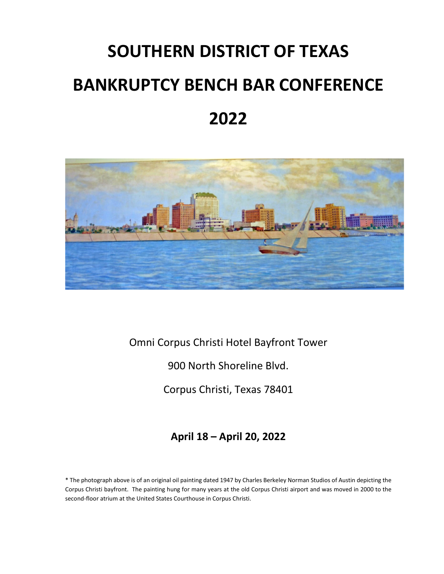# **SOUTHERN DISTRICT OF TEXAS BANKRUPTCY BENCH BAR CONFERENCE 2022**



Omni Corpus Christi Hotel Bayfront Tower

900 North Shoreline Blvd.

Corpus Christi, Texas 78401

**April 18 – April 20, 2022**

\* The photograph above is of an original oil painting dated 1947 by Charles Berkeley Norman Studios of Austin depicting the Corpus Christi bayfront. The painting hung for many years at the old Corpus Christi airport and was moved in 2000 to the second-floor atrium at the United States Courthouse in Corpus Christi.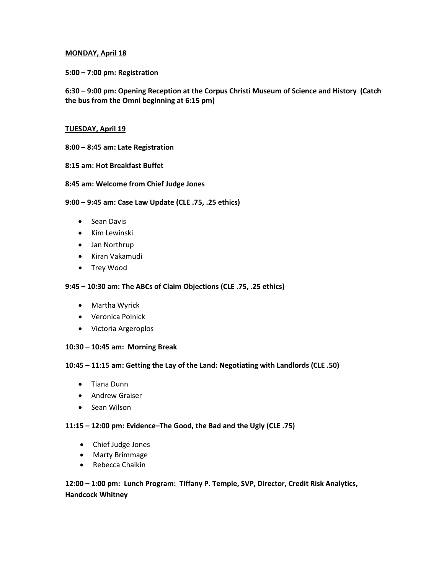#### **MONDAY, April 18**

**5:00 – 7:00 pm: Registration**

**6:30 – 9:00 pm: Opening Reception at the Corpus Christi Museum of Science and History (Catch the bus from the Omni beginning at 6:15 pm)**

#### **TUESDAY, April 19**

- **8:00 – 8:45 am: Late Registration**
- **8:15 am: Hot Breakfast Buffet**
- **8:45 am: Welcome from Chief Judge Jones**

#### **9:00 – 9:45 am: Case Law Update (CLE .75, .25 ethics)**

- Sean Davis
- Kim Lewinski
- Jan Northrup
- Kiran Vakamudi
- Trey Wood

## **9:45 – 10:30 am: The ABCs of Claim Objections (CLE .75, .25 ethics)**

- Martha Wyrick
- Veronica Polnick
- Victoria Argeroplos

# **10:30 – 10:45 am: Morning Break**

# **10:45 – 11:15 am: Getting the Lay of the Land: Negotiating with Landlords (CLE .50)**

- Tiana Dunn
- Andrew Graiser
- Sean Wilson

#### **11:15 – 12:00 pm: Evidence–The Good, the Bad and the Ugly (CLE .75)**

- Chief Judge Jones
- Marty Brimmage
- Rebecca Chaikin

# **12:00 – 1:00 pm: Lunch Program: Tiffany P. Temple, SVP, Director, Credit Risk Analytics, Handcock Whitney**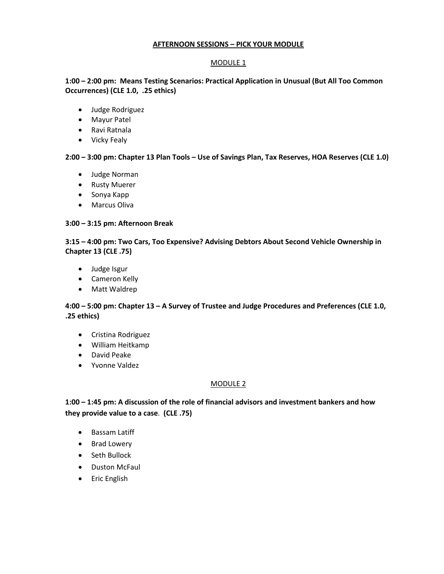# **AFTERNOON SESSIONS – PICK YOUR MODULE**

### MODULE 1

# **1:00 – 2:00 pm: Means Testing Scenarios: Practical Application in Unusual (But All Too Common Occurrences) (CLE 1.0, .25 ethics)**

- Judge Rodriguez
- Mayur Patel
- Ravi Ratnala
- Vicky Fealy

# **2:00 – 3:00 pm: Chapter 13 Plan Tools – Use of Savings Plan, Tax Reserves, HOA Reserves (CLE 1.0)**

- Judge Norman
- Rusty Muerer
- Sonya Kapp
- Marcus Oliva

#### **3:00 – 3:15 pm: Afternoon Break**

# **3:15 – 4:00 pm: Two Cars, Too Expensive? Advising Debtors About Second Vehicle Ownership in Chapter 13 (CLE .75)**

- Judge Isgur
- Cameron Kelly
- Matt Waldrep

# **4:00 – 5:00 pm: Chapter 13 – A Survey of Trustee and Judge Procedures and Preferences (CLE 1.0, .25 ethics)**

- Cristina Rodriguez
- William Heitkamp
- David Peake
- Yvonne Valdez

# MODULE 2

**1:00 – 1:45 pm: A discussion of the role of financial advisors and investment bankers and how they provide value to a case**. **(CLE .75)**

- Bassam Latiff
- Brad Lowery
- Seth Bullock
- Duston McFaul
- Eric English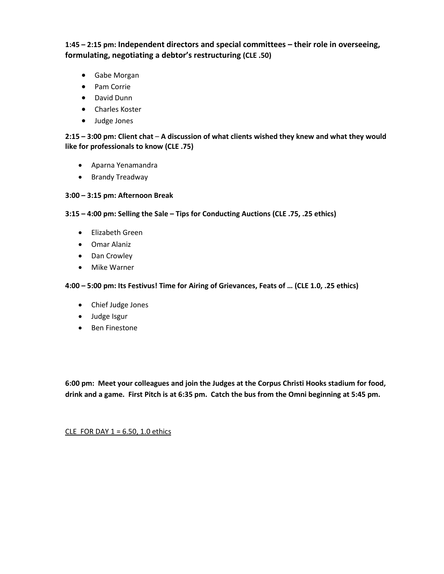**1:45 – 2:15 pm: Independent directors and special committees – their role in overseeing, formulating, negotiating a debtor's restructuring (CLE .50)** 

- Gabe Morgan
- Pam Corrie
- David Dunn
- Charles Koster
- Judge Jones

**2:15 – 3:00 pm: Client chat** – **A discussion of what clients wished they knew and what they would like for professionals to know (CLE .75)** 

- Aparna Yenamandra
- Brandy Treadway

#### **3:00 – 3:15 pm: Afternoon Break**

#### **3:15 – 4:00 pm: Selling the Sale – Tips for Conducting Auctions (CLE .75, .25 ethics)**

- Elizabeth Green
- Omar Alaniz
- Dan Crowley
- Mike Warner

**4:00 – 5:00 pm: Its Festivus! Time for Airing of Grievances, Feats of … (CLE 1.0, .25 ethics)**

- Chief Judge Jones
- Judge Isgur
- Ben Finestone

**6:00 pm: Meet your colleagues and join the Judges at the Corpus Christi Hooks stadium for food, drink and a game. First Pitch is at 6:35 pm. Catch the bus from the Omni beginning at 5:45 pm.**

CLE FOR DAY  $1 = 6.50$ , 1.0 ethics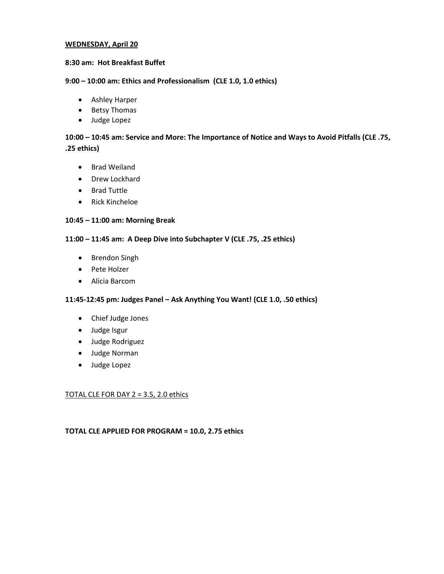#### **WEDNESDAY, April 20**

#### **8:30 am: Hot Breakfast Buffet**

#### **9:00 – 10:00 am: Ethics and Professionalism (CLE 1.0, 1.0 ethics)**

- Ashley Harper
- Betsy Thomas
- Judge Lopez

# **10:00 – 10:45 am: Service and More: The Importance of Notice and Ways to Avoid Pitfalls (CLE .75, .25 ethics)**

- Brad Weiland
- Drew Lockhard
- Brad Tuttle
- Rick Kincheloe

#### **10:45 – 11:00 am: Morning Break**

#### **11:00 – 11:45 am: A Deep Dive into Subchapter V (CLE .75, .25 ethics)**

- Brendon Singh
- Pete Holzer
- Alicia Barcom

#### **11:45-12:45 pm: Judges Panel – Ask Anything You Want! (CLE 1.0, .50 ethics)**

- Chief Judge Jones
- Judge Isgur
- Judge Rodriguez
- Judge Norman
- Judge Lopez

#### TOTAL CLE FOR DAY 2 = 3.5, 2.0 ethics

## **TOTAL CLE APPLIED FOR PROGRAM = 10.0, 2.75 ethics**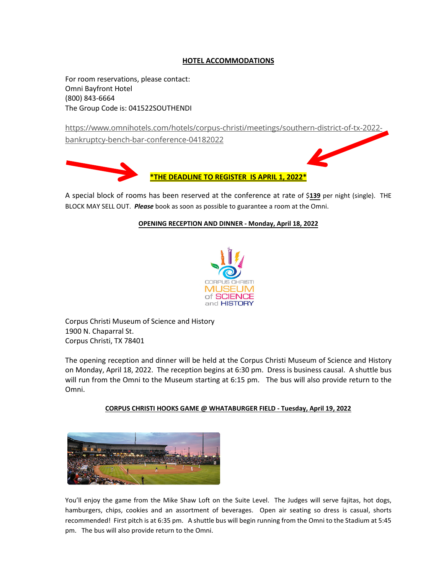# **HOTEL ACCOMMODATIONS**

For room reservations, please contact: Omni Bayfront Hotel (800) 843-6664 The Group Code is: 041522SOUTHENDI

https://www.omnihotels.com/hotels/corpus-christi/meetings/southern-district-of-tx-2022-

bankruptcy-bench-bar-conference-04182022





A special block of rooms has been reserved at the conference at rate of \$**139** per night (single). THE BLOCK MAY SELL OUT. *Please* book as soon as possible to guarantee a room at the Omni.

**\*THE DEADLINE TO REGISTER IS APRIL 1, 2022\***

#### **OPENING RECEPTION AND DINNER - Monday, April 18, 2022**



Corpus Christi Museum of Science and History 1900 N. Chaparral St. Corpus Christi, TX 78401

The opening reception and dinner will be held at the Corpus Christi Museum of Science and History on Monday, April 18, 2022. The reception begins at 6:30 pm. Dress is business causal. A shuttle bus will run from the Omni to the Museum starting at 6:15 pm. The bus will also provide return to the Omni.



# **CORPUS CHRISTI HOOKS GAME @ WHATABURGER FIELD - Tuesday, April 19, 2022**

You'll enjoy the game from the Mike Shaw Loft on the Suite Level. The Judges will serve fajitas, hot dogs, hamburgers, chips, cookies and an assortment of beverages. Open air seating so dress is casual, shorts recommended! First pitch is at 6:35 pm. A shuttle bus will begin running from the Omni to the Stadium at 5:45 pm. The bus will also provide return to the Omni.